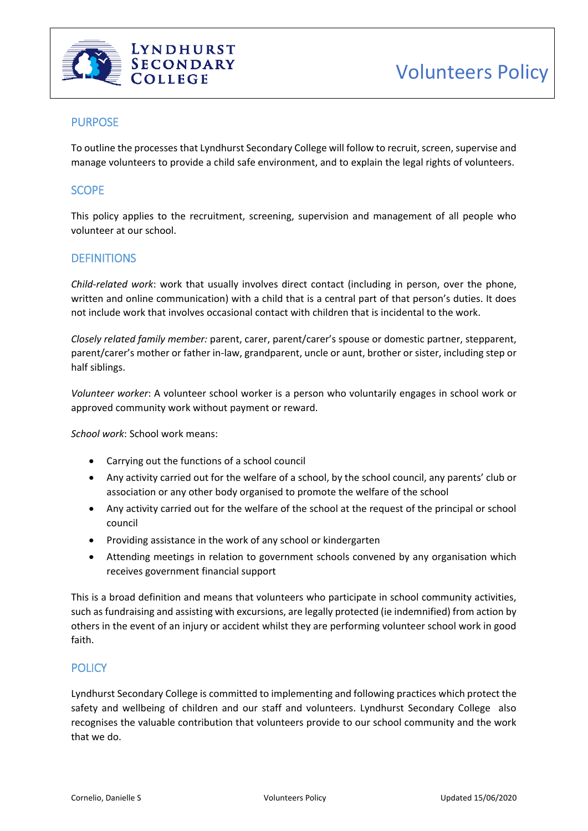

# PURPOSE

To outline the processes that Lyndhurst Secondary College will follow to recruit, screen, supervise and manage volunteers to provide a child safe environment, and to explain the legal rights of volunteers.

# **SCOPE**

This policy applies to the recruitment, screening, supervision and management of all people who volunteer at our school.

# **DEFINITIONS**

*Child-related work*: work that usually involves direct contact (including in person, over the phone, written and online communication) with a child that is a central part of that person's duties. It does not include work that involves occasional contact with children that is incidental to the work.

*Closely related family member:* parent, carer, parent/carer's spouse or domestic partner, stepparent, parent/carer's mother or father in-law, grandparent, uncle or aunt, brother or sister, including step or half siblings.

*Volunteer worker*: A volunteer school worker is a person who voluntarily engages in school work or approved community work without payment or reward.

*School work*: School work means:

- Carrying out the functions of a school council
- Any activity carried out for the welfare of a school, by the school council, any parents' club or association or any other body organised to promote the welfare of the school
- Any activity carried out for the welfare of the school at the request of the principal or school council
- Providing assistance in the work of any school or kindergarten
- Attending meetings in relation to government schools convened by any organisation which receives government financial support

This is a broad definition and means that volunteers who participate in school community activities, such as fundraising and assisting with excursions, are legally protected (ie indemnified) from action by others in the event of an injury or accident whilst they are performing volunteer school work in good faith.

## **POLICY**

Lyndhurst Secondary College is committed to implementing and following practices which protect the safety and wellbeing of children and our staff and volunteers. Lyndhurst Secondary College also recognises the valuable contribution that volunteers provide to our school community and the work that we do.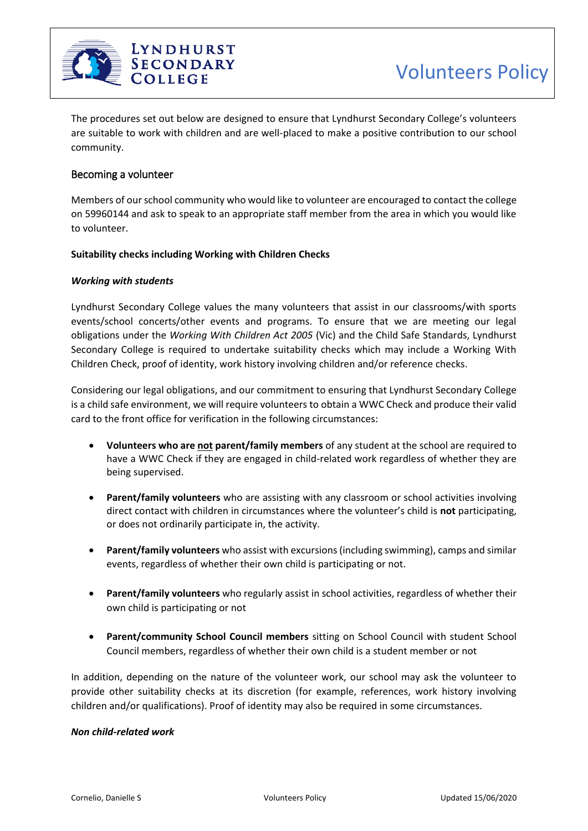

The procedures set out below are designed to ensure that Lyndhurst Secondary College's volunteers are suitable to work with children and are well-placed to make a positive contribution to our school community.

## Becoming a volunteer

Members of our school community who would like to volunteer are encouraged to contact the college on 59960144 and ask to speak to an appropriate staff member from the area in which you would like to volunteer.

#### **Suitability checks including Working with Children Checks**

#### *Working with students*

Lyndhurst Secondary College values the many volunteers that assist in our classrooms/with sports events/school concerts/other events and programs. To ensure that we are meeting our legal obligations under the *Working With Children Act 2005* (Vic) and the Child Safe Standards, Lyndhurst Secondary College is required to undertake suitability checks which may include a Working With Children Check, proof of identity, work history involving children and/or reference checks.

Considering our legal obligations, and our commitment to ensuring that Lyndhurst Secondary College is a child safe environment, we will require volunteers to obtain a WWC Check and produce their valid card to the front office for verification in the following circumstances:

- **Volunteers who are not parent/family members** of any student at the school are required to have a WWC Check if they are engaged in child-related work regardless of whether they are being supervised.
- **Parent/family volunteers** who are assisting with any classroom or school activities involving direct contact with children in circumstances where the volunteer's child is **not** participating, or does not ordinarily participate in, the activity.
- **Parent/family volunteers** who assist with excursions (including swimming), camps and similar events, regardless of whether their own child is participating or not.
- **Parent/family volunteers** who regularly assist in school activities, regardless of whether their own child is participating or not
- **Parent/community School Council members** sitting on School Council with student School Council members, regardless of whether their own child is a student member or not

In addition, depending on the nature of the volunteer work, our school may ask the volunteer to provide other suitability checks at its discretion (for example, references, work history involving children and/or qualifications). Proof of identity may also be required in some circumstances.

#### *Non child-related work*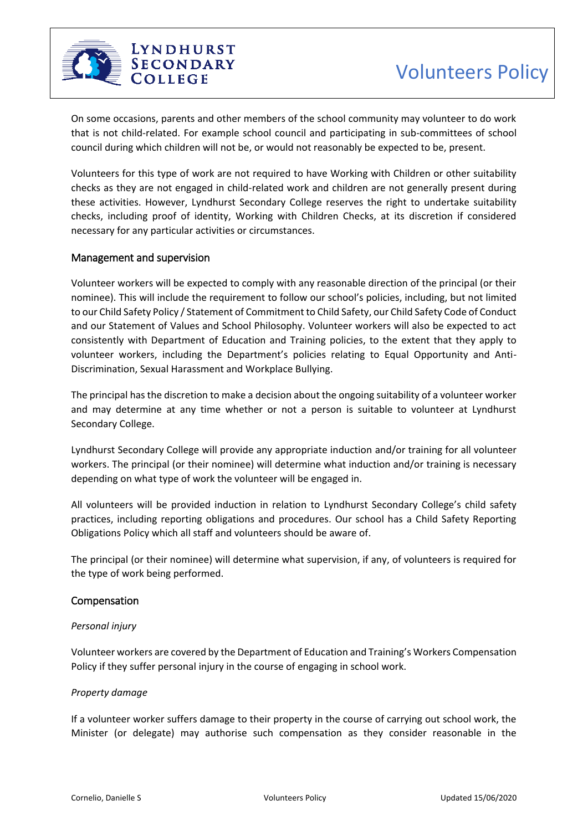

On some occasions, parents and other members of the school community may volunteer to do work that is not child-related. For example school council and participating in sub-committees of school council during which children will not be, or would not reasonably be expected to be, present.

Volunteers for this type of work are not required to have Working with Children or other suitability checks as they are not engaged in child-related work and children are not generally present during these activities. However, Lyndhurst Secondary College reserves the right to undertake suitability checks, including proof of identity, Working with Children Checks, at its discretion if considered necessary for any particular activities or circumstances.

## Management and supervision

Volunteer workers will be expected to comply with any reasonable direction of the principal (or their nominee). This will include the requirement to follow our school's policies, including, but not limited to our Child Safety Policy / Statement of Commitment to Child Safety, our Child Safety Code of Conduct and our Statement of Values and School Philosophy. Volunteer workers will also be expected to act consistently with Department of Education and Training policies, to the extent that they apply to volunteer workers, including the Department's policies relating to Equal Opportunity and Anti-Discrimination, Sexual Harassment and Workplace Bullying.

The principal has the discretion to make a decision about the ongoing suitability of a volunteer worker and may determine at any time whether or not a person is suitable to volunteer at Lyndhurst Secondary College.

Lyndhurst Secondary College will provide any appropriate induction and/or training for all volunteer workers. The principal (or their nominee) will determine what induction and/or training is necessary depending on what type of work the volunteer will be engaged in.

All volunteers will be provided induction in relation to Lyndhurst Secondary College's child safety practices, including reporting obligations and procedures. Our school has a Child Safety Reporting Obligations Policy which all staff and volunteers should be aware of.

The principal (or their nominee) will determine what supervision, if any, of volunteers is required for the type of work being performed.

### Compensation

### *Personal injury*

Volunteer workers are covered by the Department of Education and Training's Workers Compensation Policy if they suffer personal injury in the course of engaging in school work.

### *Property damage*

If a volunteer worker suffers damage to their property in the course of carrying out school work, the Minister (or delegate) may authorise such compensation as they consider reasonable in the